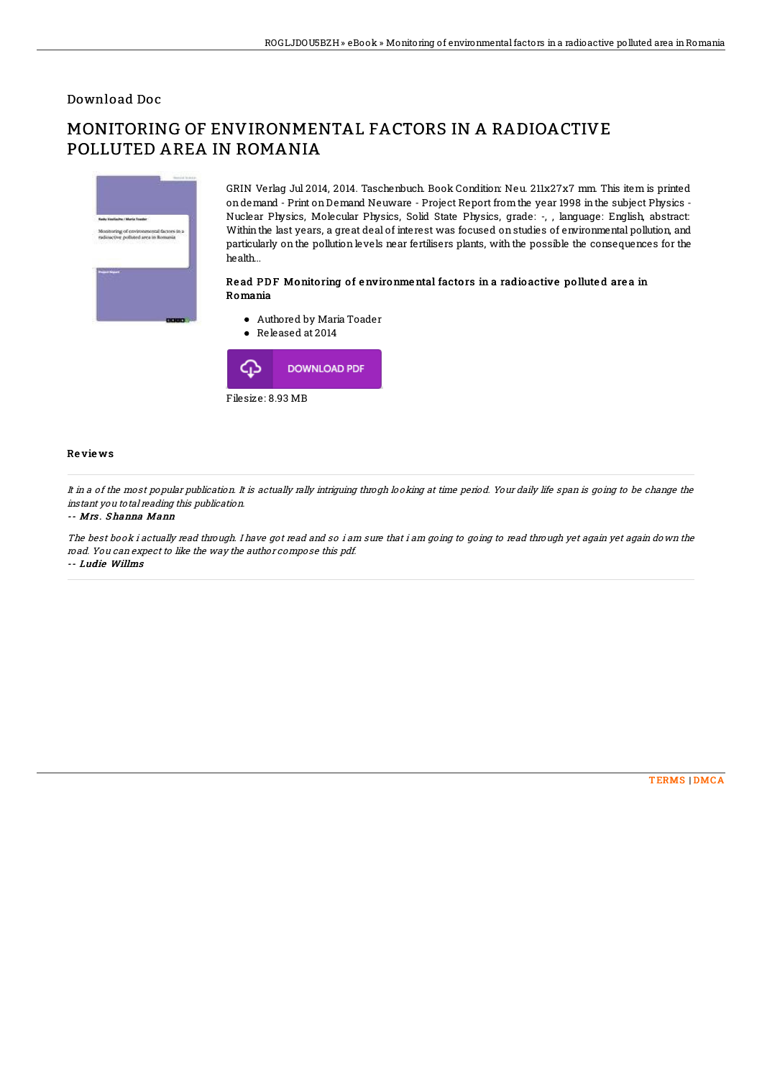## Download Doc

# MONITORING OF ENVIRONMENTAL FACTORS IN A RADIOACTIVE POLLUTED AREA IN ROMANIA



GRIN Verlag Jul 2014, 2014. Taschenbuch. Book Condition: Neu. 211x27x7 mm. This item is printed ondemand - Print onDemand Neuware - Project Report from the year 1998 inthe subject Physics - Nuclear Physics, Molecular Physics, Solid State Physics, grade: -, , language: English, abstract: Within the last years, a great deal of interest was focused on studies of environmental pollution, and particularly on the pollution levels near fertilisers plants, with the possible the consequences for the health...

#### Read PDF Monitoring of environmental factors in a radioactive polluted area in Romania

- Authored by Maria Toader
- Released at 2014



### Re vie ws

It in <sup>a</sup> of the most popular publication. It is actually rally intriguing throgh looking at time period. Your daily life span is going to be change the instant you total reading this publication.

#### -- Mrs . Shanna Mann

The best book i actually read through. I have got read and so i am sure that i am going to going to read through yet again yet again down the road. You can expect to like the way the author compose this pdf. -- Ludie Willms